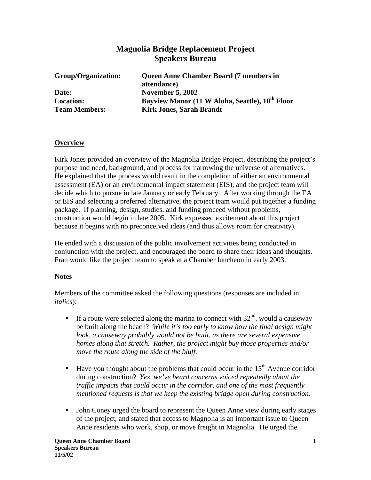# **Magnolia Bridge Replacement Project Speakers Bureau**

| Group/Organization:  | <b>Queen Anne Chamber Board (7 members in</b>               |
|----------------------|-------------------------------------------------------------|
|                      | attendance)                                                 |
| Date:                | <b>November 5, 2002</b>                                     |
| <b>Location:</b>     | Bayview Manor (11 W Aloha, Seattle), 10 <sup>th</sup> Floor |
| <b>Team Members:</b> | <b>Kirk Jones, Sarah Brandt</b>                             |

### **Overview**

Kirk Jones provided an overview of the Magnolia Bridge Project, describing the project's purpose and need, background, and process for narrowing the universe of alternatives. He explained that the process would result in the completion of either an environmental assessment (EA) or an environmental impact statement (EIS), and the project team will decide which to pursue in late January or early February. After working through the EA or EIS and selecting a preferred alternative, the project team would put together a funding package. If planning, design, studies, and funding proceed without problems, construction would begin in late 2005. Kirk expressed excitement about this project because it begins with no preconceived ideas (and thus allows room for creativity).

He ended with a discussion of the public involvement activities being conducted in conjunction with the project, and encouraged the board to share their ideas and thoughts. Fran would like the project team to speak at a Chamber luncheon in early 2003.

#### **Notes**

Members of the committee asked the following questions (responses are included in *italics*):

- If a route were selected along the marina to connect with  $32<sup>nd</sup>$ , would a causeway be built along the beach? *While it's too early to know how the final design might*  look, a causeway probably would not be built, as there are several expensive *homes along that stretch. Rather, the project might buy those properties and/or move the route along the side of the bluff.*
- Have you thought about the problems that could occur in the  $15<sup>th</sup>$  Avenue corridor during construction? *Yes, we've heard concerns voiced repeatedly about the traffic impacts that could occur in the corridor, and one of the most frequently mentioned requests is that we keep the existing bridge open during construction.*
- John Coney urged the board to represent the Queen Anne view during early stages of the project, and stated that access to Magnolia is an important issue to Queen Anne residents who work, shop, or move freight in Magnolia. He urged the